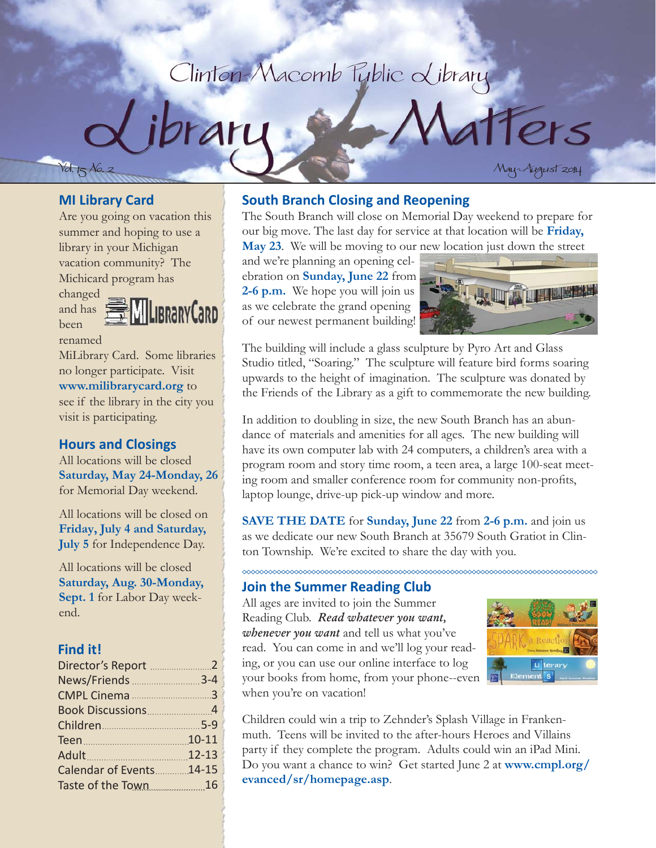# Clinton-Macomb Tublic Library



tters

#### **MI Library Card**

Are you going on vacation this summer and hoping to use a library in your Michigan vacation community? The Michicard program has

changed and has been

LibraryCard renamed

MiLibrary Card. Some libraries no longer participate. Visit **www.milibrarycard.org** to see if the library in the city you visit is participating.

#### **Hours and Closings**

All locations will be closed **Saturday, May 24-Monday, 26**  for Memorial Day weekend.

All locations will be closed on **Friday, July 4 and Saturday, July 5** for Independence Day.

All locations will be closed **Saturday, Aug. 30-Monday, Sept. 1** for Labor Day weekend.

#### **Find it!**

| News/Friends 3-4         |  |
|--------------------------|--|
|                          |  |
|                          |  |
|                          |  |
|                          |  |
| Adult 12-13              |  |
| Calendar of Events 14-15 |  |
| Taste of the Town 16     |  |

#### **South Branch Closing and Reopening**

The South Branch will close on Memorial Day weekend to prepare for our big move. The last day for service at that location will be **Friday, May 23**. We will be moving to our new location just down the street

and we're planning an opening celebration on **Sunday, June 22** from **2-6 p.m.** We hope you will join us as we celebrate the grand opening of our newest permanent building!



The building will include a glass sculpture by Pyro Art and Glass Studio titled, "Soaring." The sculpture will feature bird forms soaring upwards to the height of imagination. The sculpture was donated by the Friends of the Library as a gift to commemorate the new building.

In addition to doubling in size, the new South Branch has an abundance of materials and amenities for all ages. The new building will have its own computer lab with 24 computers, a children's area with a program room and story time room, a teen area, a large 100-seat meeting room and smaller conference room for community non-profits, laptop lounge, drive-up pick-up window and more.

**SAVE THE DATE** for **Sunday, June 22** from **2-6 p.m.** and join us as we dedicate our new South Branch at 35679 South Gratiot in Clinton Township. We're excited to share the day with you.

#### **Join the Summer Reading Club**

All ages are invited to join the Summer Reading Club. *Read whatever you want, whenever you want* and tell us what you've read. You can come in and we'll log your reading, or you can use our online interface to log your books from home, from your phone--even when you're on vacation!



Children could win a trip to Zehnder's Splash Village in Frankenmuth. Teens will be invited to the after-hours Heroes and Villains party if they complete the program. Adults could win an iPad Mini. Do you want a chance to win? Get started June 2 at **www.cmpl.org/ evanced/sr/homepage.asp**.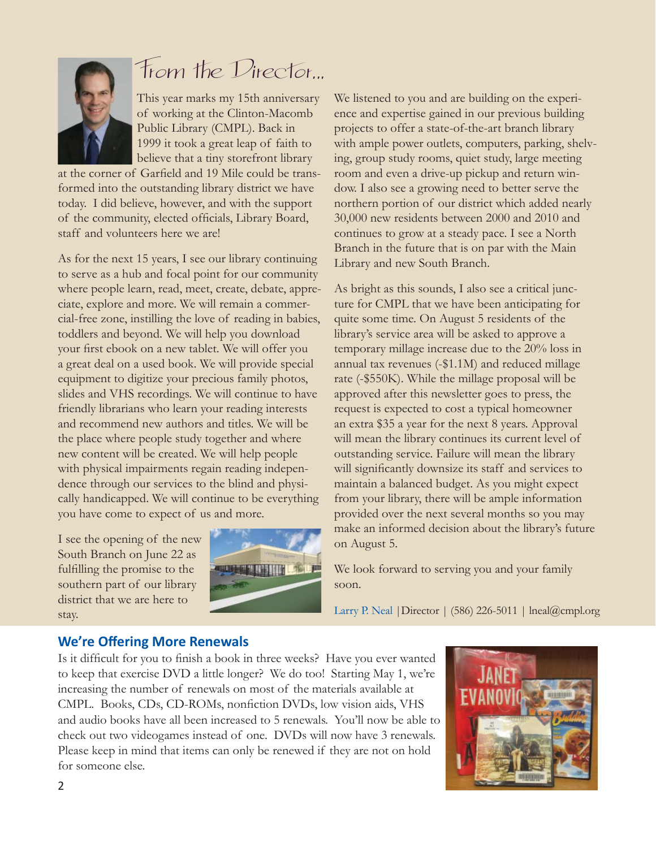

# From the Director...

This year marks my 15th anniversary of working at the Clinton-Macomb Public Library (CMPL). Back in 1999 it took a great leap of faith to believe that a tiny storefront library

at the corner of Garfield and 19 Mile could be transformed into the outstanding library district we have today. I did believe, however, and with the support of the community, elected officials, Library Board, staff and volunteers here we are!

As for the next 15 years, I see our library continuing to serve as a hub and focal point for our community where people learn, read, meet, create, debate, appreciate, explore and more. We will remain a commercial-free zone, instilling the love of reading in babies, toddlers and beyond. We will help you download your first ebook on a new tablet. We will offer you a great deal on a used book. We will provide special equipment to digitize your precious family photos, slides and VHS recordings. We will continue to have friendly librarians who learn your reading interests and recommend new authors and titles. We will be the place where people study together and where new content will be created. We will help people with physical impairments regain reading independence through our services to the blind and physically handicapped. We will continue to be everything you have come to expect of us and more.

I see the opening of the new South Branch on June 22 as fulfilling the promise to the southern part of our library district that we are here to stay.



We listened to you and are building on the experience and expertise gained in our previous building projects to offer a state-of-the-art branch library with ample power outlets, computers, parking, shelving, group study rooms, quiet study, large meeting room and even a drive-up pickup and return window. I also see a growing need to better serve the northern portion of our district which added nearly 30,000 new residents between 2000 and 2010 and continues to grow at a steady pace. I see a North Branch in the future that is on par with the Main Library and new South Branch.

As bright as this sounds, I also see a critical juncture for CMPL that we have been anticipating for quite some time. On August 5 residents of the library's service area will be asked to approve a temporary millage increase due to the 20% loss in annual tax revenues (-\$1.1M) and reduced millage rate (-\$550K). While the millage proposal will be approved after this newsletter goes to press, the request is expected to cost a typical homeowner an extra \$35 a year for the next 8 years. Approval will mean the library continues its current level of outstanding service. Failure will mean the library will significantly downsize its staff and services to maintain a balanced budget. As you might expect from your library, there will be ample information provided over the next several months so you may make an informed decision about the library's future on August 5.

We look forward to serving you and your family soon.

Larry P. Neal |Director | (586) 226-5011 | lneal@cmpl.org

#### **We're Off ering More Renewals**

Is it difficult for you to finish a book in three weeks? Have you ever wanted to keep that exercise DVD a little longer? We do too! Starting May 1, we're increasing the number of renewals on most of the materials available at CMPL. Books, CDs, CD-ROMs, nonfiction DVDs, low vision aids, VHS and audio books have all been increased to 5 renewals. You'll now be able to check out two videogames instead of one. DVDs will now have 3 renewals. Please keep in mind that items can only be renewed if they are not on hold for someone else.

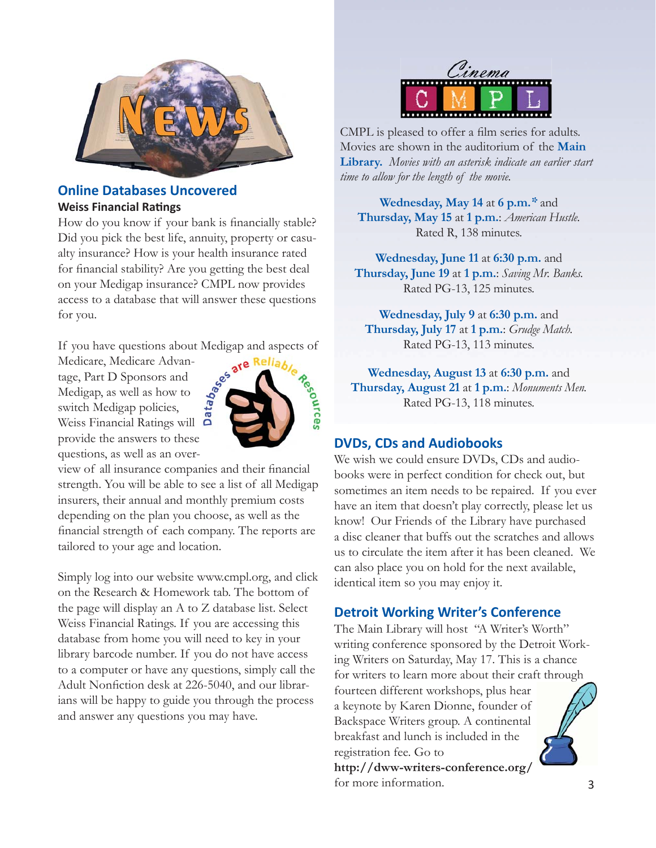

#### **Online Databases Uncovered Weiss Financial Ratings**

How do you know if your bank is financially stable? Did you pick the best life, annuity, property or casualty insurance? How is your health insurance rated for financial stability? Are you getting the best deal on your Medigap insurance? CMPL now provides access to a database that will answer these questions for you.

If you have questions about Medigap and aspects of

Medicare, Medicare Advantage, Part D Sponsors and Medigap, as well as how to switch Medigap policies, Weiss Financial Ratings will provide the answers to these questions, as well as an over-



view of all insurance companies and their financial strength. You will be able to see a list of all Medigap insurers, their annual and monthly premium costs depending on the plan you choose, as well as the financial strength of each company. The reports are tailored to your age and location.

Simply log into our website www.cmpl.org, and click on the Research & Homework tab. The bottom of the page will display an A to Z database list. Select Weiss Financial Ratings. If you are accessing this database from home you will need to key in your library barcode number. If you do not have access to a computer or have any questions, simply call the Adult Nonfiction desk at 226-5040, and our librarians will be happy to guide you through the process and answer any questions you may have.



CMPL is pleased to offer a film series for adults. Movies are shown in the auditorium of the **Main Library.** *Movies with an asterisk indicate an earlier start time to allow for the length of the movie.*

**Wednesday, May 14** at **6 p.m.***\** and **Thursday, May 15** at **1 p.m.**: *American Hustle.*  Rated R, 138 minutes.

**Wednesday, June 11** at **6:30 p.m.** and **Thursday, June 19** at **1 p.m.**: *Saving Mr. Banks.* Rated PG-13, 125 minutes.

**Wednesday, July 9** at **6:30 p.m.** and **Thursday, July 17** at **1 p.m.**: *Grudge Match.* Rated PG-13, 113 minutes.

**Wednesday, August 13** at **6:30 p.m.** and **Thursday, August 21** at **1 p.m.**: *Monuments Men.* Rated PG-13, 118 minutes.

#### **DVDs, CDs and Audiobooks**

We wish we could ensure DVDs, CDs and audiobooks were in perfect condition for check out, but sometimes an item needs to be repaired. If you ever have an item that doesn't play correctly, please let us know! Our Friends of the Library have purchased a disc cleaner that buffs out the scratches and allows us to circulate the item after it has been cleaned. We can also place you on hold for the next available, identical item so you may enjoy it.

#### **Detroit Working Writer's Conference**

The Main Library will host "A Writer's Worth" writing conference sponsored by the Detroit Working Writers on Saturday, May 17. This is a chance for writers to learn more about their craft through fourteen different workshops, plus hear a keynote by Karen Dionne, founder of Backspace Writers group. A continental breakfast and lunch is included in the registration fee. Go to

**http://dww-writers-conference.org/** for more information.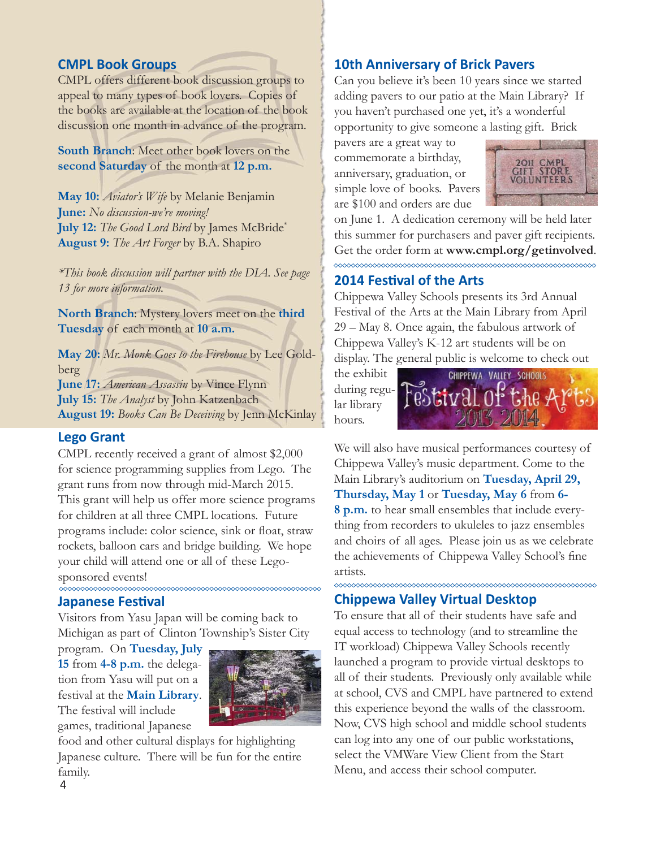#### **CMPL Book Groups**

CMPL offers different book discussion groups to appeal to many types of book lovers. Copies of the books are available at the location of the book discussion one month in advance of the program.

**South Branch**: Meet other book lovers on the **second Saturday** of the month at **12 p.m.**

**May 10:** *Aviator's Wife* by Melanie Benjamin **June:** *No discussion-we're moving!* **July 12:** *The Good Lord Bird* by James McBride\* **August 9:** *The Art Forger* by B.A. Shapiro

*\*This book discussion will partner with the DIA. See page 13 for more information.*

**North Branch**: Mystery lovers meet on the **third Tuesday** of each month at **10 a.m.**

**May 20:** *Mr. Monk Goes to the Firehouse* by Lee Goldberg **June 17:** *American Assassin* by Vince Flynn **July 15:** *The Analyst* by John Katzenbach

**August 19:** *Books Can Be Deceiving* by Jenn McKinlay

#### **Lego Grant**

CMPL recently received a grant of almost \$2,000 for science programming supplies from Lego. The grant runs from now through mid-March 2015. This grant will help us offer more science programs for children at all three CMPL locations. Future programs include: color science, sink or float, straw rockets, balloon cars and bridge building. We hope your child will attend one or all of these Legosponsored events!

#### **Japanese Festival**

Visitors from Yasu Japan will be coming back to Michigan as part of Clinton Township's Sister City

program. On **Tuesday, July 15** from **4-8 p.m.** the delegation from Yasu will put on a festival at the **Main Library**. The festival will include games, traditional Japanese



food and other cultural displays for highlighting Japanese culture. There will be fun for the entire family.

#### **10th Anniversary of Brick Pavers**

Can you believe it's been 10 years since we started adding pavers to our patio at the Main Library? If you haven't purchased one yet, it's a wonderful opportunity to give someone a lasting gift. Brick

pavers are a great way to commemorate a birthday, anniversary, graduation, or simple love of books. Pavers are \$100 and orders are due



on June 1. A dedication ceremony will be held later this summer for purchasers and paver gift recipients. Get the order form at **www.cmpl.org/getinvolved**. 

#### **2014 FesƟ val of the Arts**

Chippewa Valley Schools presents its 3rd Annual Festival of the Arts at the Main Library from April 29 – May 8. Once again, the fabulous artwork of Chippewa Valley's K-12 art students will be on display. The general public is welcome to check out

the exhibit during regular library hours.



We will also have musical performances courtesy of Chippewa Valley's music department. Come to the Main Library's auditorium on **Tuesday, April 29, Thursday, May 1** or **Tuesday, May 6** from **6- 8 p.m.** to hear small ensembles that include everything from recorders to ukuleles to jazz ensembles and choirs of all ages. Please join us as we celebrate the achievements of Chippewa Valley School's fine artists.

#### **Chippewa Valley Virtual Desktop**

To ensure that all of their students have safe and equal access to technology (and to streamline the IT workload) Chippewa Valley Schools recently launched a program to provide virtual desktops to all of their students. Previously only available while at school, CVS and CMPL have partnered to extend this experience beyond the walls of the classroom. Now, CVS high school and middle school students can log into any one of our public workstations, select the VMWare View Client from the Start Menu, and access their school computer.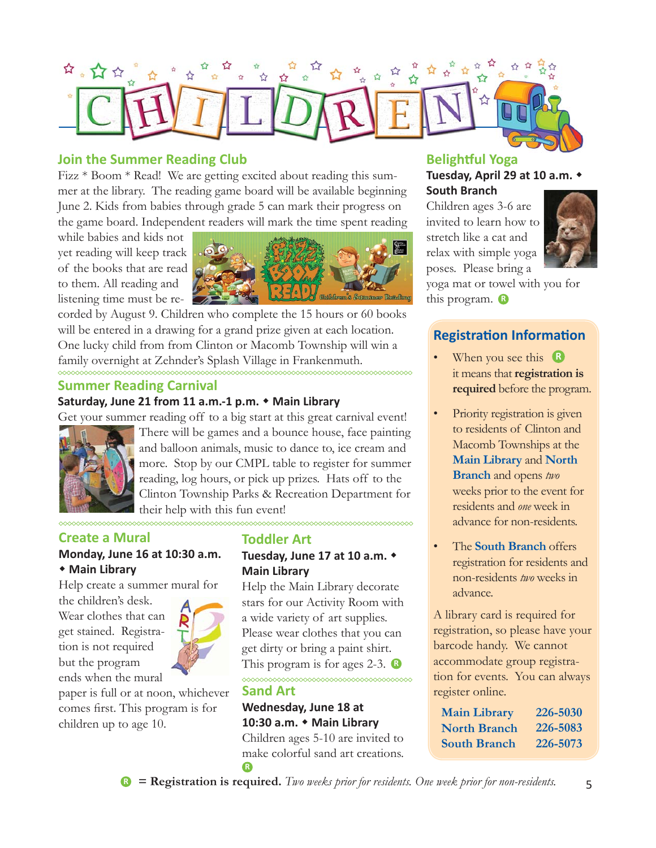

#### **Join the Summer Reading Club**

Fizz \* Boom \* Read! We are getting excited about reading this summer at the library. The reading game board will be available beginning June 2. Kids from babies through grade 5 can mark their progress on the game board. Independent readers will mark the time spent reading

while babies and kids not yet reading will keep track of the books that are read to them. All reading and listening time must be re-



corded by August 9. Children who complete the 15 hours or 60 books will be entered in a drawing for a grand prize given at each location. One lucky child from from Clinton or Macomb Township will win a family overnight at Zehnder's Splash Village in Frankenmuth.

#### **Summer Reading Carnival**

#### **Saturday, June 21 from 11 a.m.-1 p.m. Main Library**

Get your summer reading off to a big start at this great carnival event!



There will be games and a bounce house, face painting and balloon animals, music to dance to, ice cream and more. Stop by our CMPL table to register for summer reading, log hours, or pick up prizes. Hats off to the Clinton Township Parks & Recreation Department for their help with this fun event!

#### **Create a Mural**

#### **Monday, June 16 at 10:30 a.m. Main Library**

Help create a summer mural for

the children's desk. Wear clothes that can get stained. Registration is not required but the program ends when the mural



paper is full or at noon, whichever comes first. This program is for children up to age 10.

#### **Toddler Art**

# **Tuesday, June 17 at 10 a.m. Main Library**

This program is for ages 2-3. **B** Help the Main Library decorate stars for our Activity Room with a wide variety of art supplies. Please wear clothes that you can get dirty or bring a paint shirt.

# **Sand Art**

**R**

**Wednesday, June 18 at 10:30 a.m. Main Library** Children ages 5-10 are invited to make colorful sand art creations.

<u>oodoodoodoodoodoodoodoodoodoodoodo</u>

# **Belightful Yoga Tuesday, April 29 at 10 a.m.**

**South Branch**  Children ages 3-6 are invited to learn how to stretch like a cat and relax with simple yoga poses. Please bring a



**R** this program.yoga mat or towel with you for

# **Registration Information**

- When you see this **R** it means that **registration is required** before the program.
- Priority registration is given to residents of Clinton and Macomb Townships at the **Main Library** and **North Branch** and opens *two* weeks prior to the event for residents and *one* week in advance for non-residents.
- The **South Branch** offers registration for residents and non-residents *two* weeks in advance.

A library card is required for registration, so please have your barcode handy. We cannot accommodate group registration for events. You can always register online.

**226-5030 226-5083 226-5073 Main Library North Branch South Branch**

**<sup>R</sup> = Registration is required.** *Two weeks prior for residents. One week prior for non-residents.*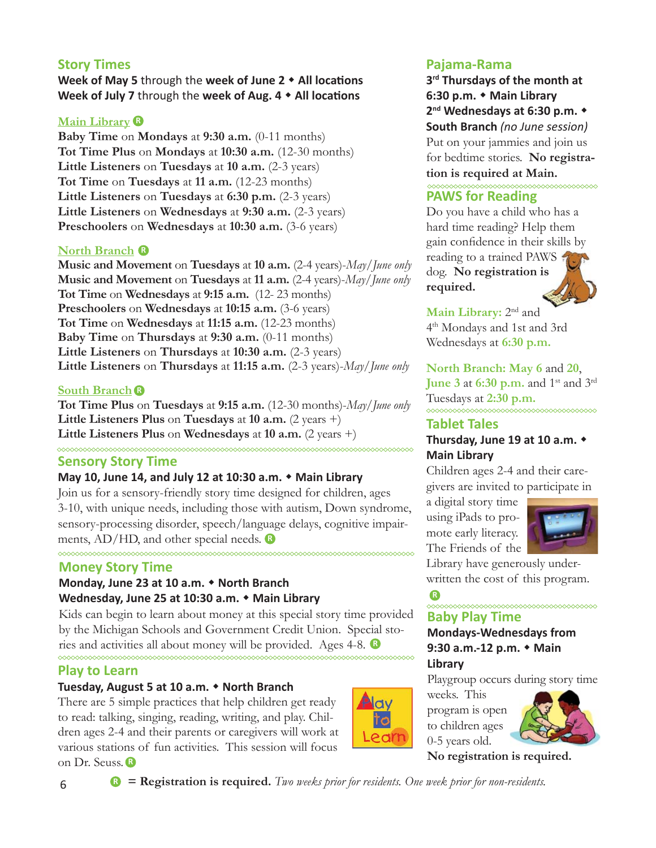## **Story Times**

**Week of May 5** through the week of June 2  $\triangle$  All locations **Week of July 7** through the week of Aug. 4  $\star$  All locations

#### **Main Library R**

**Baby Time** on **Mondays** at **9:30 a.m.** (0-11 months) **Tot Time Plus** on **Mondays** at **10:30 a.m.** (12-30 months) **Little Listeners** on **Tuesdays** at **10 a.m.** (2-3 years) **Tot Time** on **Tuesdays** at **11 a.m.** (12-23 months) **Little Listeners** on **Tuesdays** at **6:30 p.m.** (2-3 years) **Little Listeners** on **Wednesdays** at **9:30 a.m.** (2-3 years) **Preschoolers** on **Wednesdays** at **10:30 a.m.** (3-6 years)

#### **North Branch R**

**Music and Movement** on **Tuesdays** at **10 a.m.** (2-4 years)-*May/June only* **Music and Movement** on **Tuesdays** at **11 a.m.** (2-4 years)-*May/June only* **Tot Time** on **Wednesdays** at **9:15 a.m.** (12- 23 months) **Preschoolers** on **Wednesdays** at **10:15 a.m.** (3-6 years) **Tot Time** on **Wednesdays** at **11:15 a.m.** (12-23 months) **Baby Time** on **Thursdays** at **9:30 a.m.** (0-11 months) **Little Listeners** on **Thursdays** at **10:30 a.m.** (2-3 years) **Little Listeners** on **Thursdays** at **11:15 a.m.** (2-3 years)-*May/June only*

#### **South Branch R**

**Tot Time Plus** on **Tuesdays** at **9:15 a.m.** (12-30 months)-*May/June only* **Little Listeners Plus** on **Tuesdays** at **10 a.m.** (2 years +) **Little Listeners Plus** on **Wednesdays** at 10 **a.m.** (2 years +)

#### **Sensory Story Time**

#### **May 10, June 14, and July 12 at 10:30 a.m. Main Library**

Join us for a sensory-friendly story time designed for children, ages 3-10, with unique needs, including those with autism, Down syndrome, sensory-processing disorder, speech/language delays, cognitive impairments, AD/HD, and other special needs. **R**

#### **Money Story Time**

#### **Monday, June 23 at 10 a.m. North Branch Wednesday, June 25 at 10:30 a.m. Main Library**

Kids can begin to learn about money at this special story time provided by the Michigan Schools and Government Credit Union. Special stories and activities all about money will be provided. Ages 4-8. **R**

#### **Play to Learn**

#### **Tuesday, August 5 at 10 a.m. North Branch**

**R** on Dr. Seuss. There are 5 simple practices that help children get ready to read: talking, singing, reading, writing, and play. Children ages 2-4 and their parents or caregivers will work at various stations of fun activities. This session will focus



**3rd Thursdays of the month at 6:30 p.m. Main Library 2nd Wednesdays at 6:30 p.m. South Branch** *(no June session)* Put on your jammies and join us for bedtime stories. **No registration is required at Main.** 

### **PAWS for Reading**

Do you have a child who has a hard time reading? Help them gain confidence in their skills by reading to a trained PAWS dog. **No registration is required.**

**Main Library:** 2nd and 4th Mondays and 1st and 3rd Wednesdays at **6:30 p.m.**

#### **North Branch: May 6** and **20**,

**June 3 at 6:30 p.m.** and 1<sup>st</sup> and 3<sup>rd</sup> Tuesdays at **2:30 p.m.** \*\*\*\*\*\*\*\*\*\*\*\*\*\*\*\*

#### **Tablet Tales**

#### **Thursday, June 19 at 10 a.m. Main Library**

Children ages 2-4 and their caregivers are invited to participate in

a digital story time using iPads to promote early literacy. The Friends of the



Library have generously underwritten the cost of this program.

#### **R Baby Play Time**

#### **Mondays-Wednesdays from 9:30 a.m.-12 p.m. Main Library**

Playgroup occurs during story time

weeks. This program is open to children ages 0-5 years old.



**No registration is required.**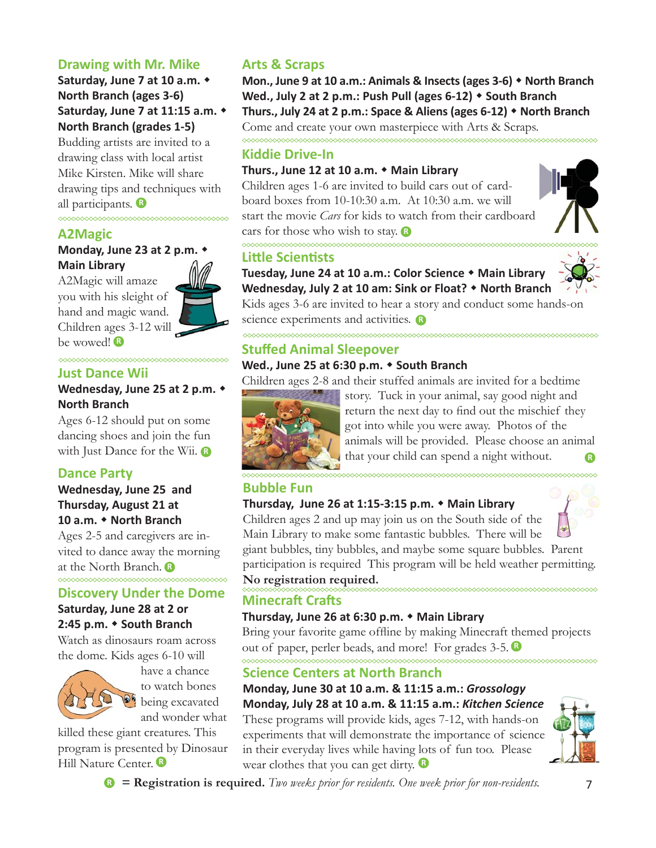# **Drawing with Mr. Mike**

**Saturday, June 7 at 10 a.m. North Branch (ages 3-6) Saturday, June 7 at 11:15 a.m. North Branch (grades 1-5)**

Budding artists are invited to a drawing class with local artist Mike Kirsten. Mike will share drawing tips and techniques with all participants. **R**

## **A2Magic**

#### **Monday, June 23 at 2 p.m. Main Library**

**R** be wowed! A2Magic will amaze you with his sleight of hand and magic wand. Children ages 3-12 will



#### **Just Dance Wii**

#### **Wednesday, June 25 at 2 p.m. North Branch**

with Just Dance for the Wii. Ages 6-12 should put on some dancing shoes and join the fun

#### **Dance Party**

#### **Wednesday, June 25 and Thursday, August 21 at 10 a.m. North Branch**

**R** at the North Branch. Ages 2-5 and caregivers are invited to dance away the morning

#### **Discovery Under the Dome**

# **Saturday, June 28 at 2 or 2:45 p.m. South Branch**

Watch as dinosaurs roam across the dome. Kids ages 6-10 will



have a chance to watch bones being excavated and wonder what

**R** Hill Nature Center. killed these giant creatures. This program is presented by Dinosaur

# **Arts & Scraps**

**Mon., June 9 at 10 a.m.: Animals & Insects (ages 3-6) North Branch Wed., July 2 at 2 p.m.: Push Pull (ages 6-12) South Branch Thurs., July 24 at 2 p.m.: Space & Aliens (ages 6-12) North Branch** Come and create your own masterpiece with Arts & Scraps.

### **Kiddie Drive-In**

#### **Thurs., June 12 at 10 a.m. Main Library**

cars for those who wish to stay. Children ages 1-6 are invited to build cars out of cardboard boxes from 10-10:30 a.m. At 10:30 a.m. we will start the movie *Cars* for kids to watch from their cardboard

## **LiƩ le ScienƟ sts**

 $\infty$ 

\*\*\*\*\*\*\*\*\*\*\*\*\*\*\*\*\*\*\*\*\*\*\*\*\*\*\*

# **Tuesday, June 24 at 10 a.m.: Color Science Main Library**



science experiments and activities. **Wednesday, July 2 at 10 am: Sink or Float? North Branch** Kids ages 3-6 are invited to hear a story and conduct some hands-on

# **Stuff ed Animal Sleepover**

### **Wed., June 25 at 6:30 p.m. South Branch**

Children ages 2-8 and their stuffed animals are invited for a bedtime



**R** story. Tuck in your animal, say good night and return the next day to find out the mischief they got into while you were away. Photos of the animals will be provided. Please choose an animal that your child can spend a night without.

#### **Bubble Fun**

# **Thursday, June 26 at 1:15-3:15 p.m. Main Library**



Children ages 2 and up may join us on the South side of the Main Library to make some fantastic bubbles. There will be giant bubbles, tiny bubbles, and maybe some square bubbles. Parent participation is required This program will be held weather permitting.

# **No registration required.**

#### **Minecraft Crafts**

#### **Thursday, June 26 at 6:30 p.m. Main Library**

out of paper, perler beads, and more! For grades 3-5. Bring your favorite game offline by making Minecraft themed projects

#### **Science Centers at North Branch**

**R** wear clothes that you can get dirty. **Monday, June 30 at 10 a.m. & 11:15 a.m.:** *Grossology* **Monday, July 28 at 10 a.m. & 11:15 a.m.:** *Kitchen Science* These programs will provide kids, ages 7-12, with hands-on experiments that will demonstrate the importance of science in their everyday lives while having lots of fun too. Please



 $\bullet$  **= Registration is required.** *Two weeks prior for residents. One week prior for non-residents.* 7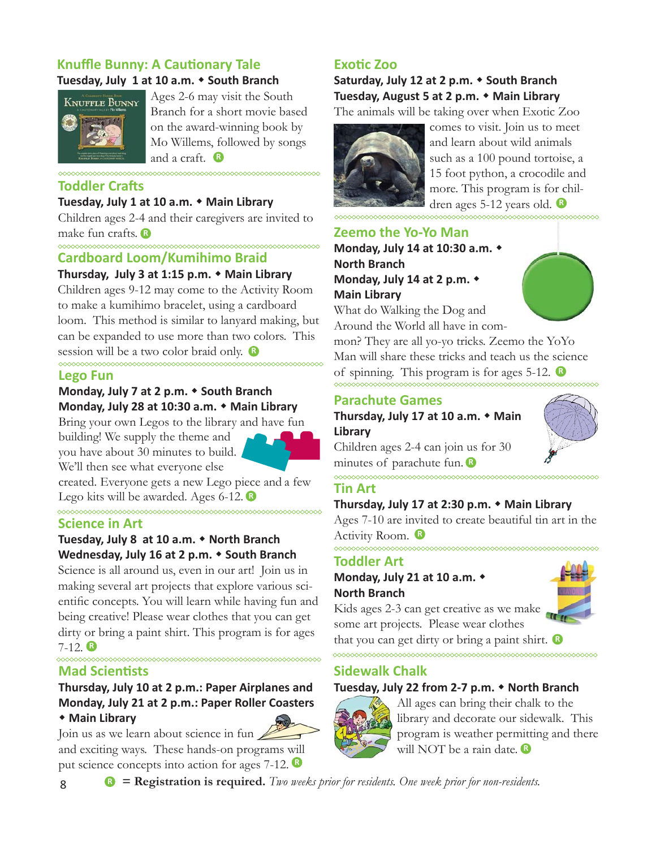# **Knuffle Bunny: A Cautionary Tale**

#### **Tuesday, July 1 at 10 a.m. South Branch**



**R** and a craft. Ages 2-6 may visit the South Branch for a short movie based on the award-winning book by Mo Willems, followed by songs

### **Toddler Crafts**

#### **Tuesday, July 1 at 10 a.m. Main Library**

**R** make fun crafts. Children ages 2-4 and their caregivers are invited to

# **Cardboard Loom/Kumihimo Braid**

#### **Thursday, July 3 at 1:15 p.m. Main Library**

session will be a two color braid only. Children ages 9-12 may come to the Activity Room to make a kumihimo bracelet, using a cardboard loom. This method is similar to lanyard making, but can be expanded to use more than two colors. This

#### **Lego Fun**

## **Monday, July 7 at 2 p.m. South Branch Monday, July 28 at 10:30 a.m. Main Library**

Bring your own Legos to the library and have fun building! We supply the theme and you have about 30 minutes to build. We'll then see what everyone else

created. Everyone gets a new Lego piece and a few **R** Lego kits will be awarded. Ages 6-12. **Tin Art** <u>MMMMMMMMMMM</u>

#### **Science in Art**

#### **Tuesday, July 8 at 10 a.m. North Branch Wednesday, July 16 at 2 p.m. South Branch**

**R** 7-12. Science is all around us, even in our art! Join us in making several art projects that explore various scientific concepts. You will learn while having fun and being creative! Please wear clothes that you can get dirty or bring a paint shirt. This program is for ages

#### **Mad Scientists**

# **Thursday, July 10 at 2 p.m.: Paper Airplanes and Monday, July 21 at 2 p.m.: Paper Roller Coasters**

## **Main Library**

put science concepts into action for ages 7-12. Join us as we learn about science in fun and exciting ways. These hands-on programs will



# **Saturday, July 12 at 2 p.m. South Branch Tuesday, August 5 at 2 p.m. Main Library**

The animals will be taking over when Exotic Zoo



dren ages 5-12 years old. comes to visit. Join us to meet and learn about wild animals such as a 100 pound tortoise, a 15 foot python, a crocodile and more. This program is for chil-

#### **Zeemo the Yo-Yo Man**

**Monday, July 14 at 10:30 a.m. North Branch Monday, July 14 at 2 p.m. Main Library**

What do Walking the Dog and Around the World all have in com-

of spinning. This program is for ages 5-12. mon? They are all yo-yo tricks. Zeemo the YoYo Man will share these tricks and teach us the science

#### **Parachute Games**

**Thursday, July 17 at 10 a.m. Main Library**

minutes of parachute fun. Children ages 2-4 can join us for 30

# $\lambda$

**Thursday, July 17 at 2:30 p.m. Main Library** 

**R** Activity Room. Ages 7-10 are invited to create beautiful tin art in the

# **Toddler Art**

**Monday, July 21 at 10 a.m. North Branch**



that you can get dirty or bring a paint shirt. Kids ages 2-3 can get creative as we make some art projects. Please wear clothes

#### **Sidewalk Chalk**

#### **Tuesday, July 22 from 2-7 p.m. North Branch**



All ages can bring their chalk to the library and decorate our sidewalk. This program is weather permitting and there will NOT be a rain date. **<sup>R</sup>**

8 **<sup>R</sup> = Registration is required.** *Two weeks prior for residents. One week prior for non-residents.*



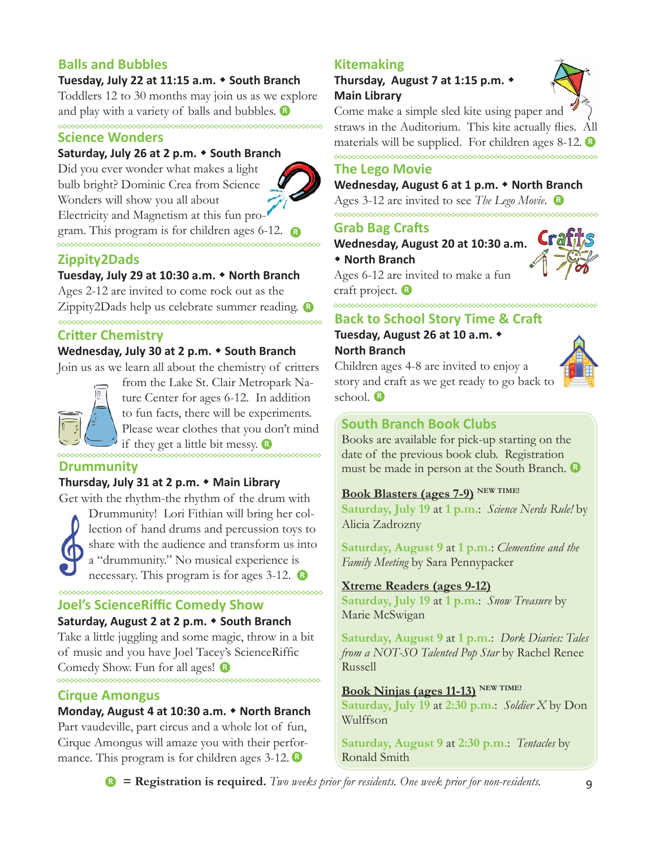# **Balls and Bubbles**

#### **Tuesday, July 22 at 11:15 a.m. South Branch**

and play with a variety of balls and bubbles. **B** Toddlers 12 to 30 months may join us as we explore

# **Science Wonders**

<u>MMMMMMMMMMMMMMMM</u>

#### **Saturday, July 26 at 2 p.m. South Branch**

gram. This program is for children ages 6-12. Did you ever wonder what makes a light bulb bright? Dominic Crea from Science Wonders will show you all about Electricity and Magnetism at this fun pro-



#### **Zippity2Dads**

#### **Tuesday, July 29 at 10:30 a.m. North Branch**

**R** Zippity2Dads help us celebrate summer reading. Ages 2-12 are invited to come rock out as the

#### **Critter Chemistry**

#### **Wednesday, July 30 at 2 p.m. South Branch**

Join us as we learn all about the chemistry of critters



if they get a little bit messy. **R** from the Lake St. Clair Metropark Nature Center for ages 6-12. In addition to fun facts, there will be experiments. Please wear clothes that you don't mind

#### **Drummunity**

#### **Thursday, July 31 at 2 p.m. Main Library**

Get with the rhythm-the rhythm of the drum with



necessary. This program is for ages 3-12. **B** Drummunity! Lori Fithian will bring her collection of hand drums and percussion toys to share with the audience and transform us into a "drummunity." No musical experience is

#### **Joel's ScienceRiffi c Comedy Show**

#### **Saturday, August 2 at 2 p.m. South Branch** Take a little juggling and some magic, throw in a bit

of music and you have Joel Tacey's ScienceRiffic Comedy Show. Fun for all ages! **R**

#### **Cirque Amongus**

#### **Monday, August 4 at 10:30 a.m. North Branch**

Part vaudeville, part circus and a whole lot of fun, Cirque Amongus will amaze you with their performance. This program is for children ages 3-12. **R**

# **Kitemaking**

∞∞∞∞∞∞∞∞∞∞∞∞∞

#### **Thursday, August 7 at 1:15 p.m. Main Library**



Come make a simple sled kite using paper and straws in the Auditorium. This kite actually flies. All materials will be supplied. For children ages 8-12. **R**

#### **The Lego Movie**

#### **Wednesday, August 6 at 1 p.m. North Branch**

Ages 3-12 are invited to see *The Lego Movie*. **R**

#### **Grab Bag Crafts**

**Wednesday, August 20 at 10:30 a.m.** 

**R** craft project.  **North Branch** Ages 6-12 are invited to make a fun

# **Back to School Story Time & Craft**

# **Tuesday, August 26 at 10 a.m. North Branch**

**R** school. Children ages 4-8 are invited to enjoy a story and craft as we get ready to go back to

### **South Branch Book Clubs**

Books are available for pick-up starting on the date of the previous book club. Registration must be made in person at the South Branch. **R**

# **Book Blasters (ages 7-9) NEW TIME!**

**Saturday, July 19** at **1 p.m.**: *Science Nerds Rule!* by Alicia Zadrozny

**Saturday, August 9** at **1 p.m.**: *Clementine and the Family Meeting* by Sara Pennypacker

#### **Xtreme Readers (ages 9-12)**

**Saturday, July 19** at **1 p.m.**: *Snow Treasure* by Marie McSwigan

**Saturday, August 9** at **1 p.m.**: *Dork Diaries: Tales from a NOT-SO Talented Pop Star* by Rachel Renee Russell

#### **Book Ninjas (ages 11-13)** NEW TIME!

**Saturday, July 19** at **2:30 p.m.**: *Soldier X* by Don Wulffson

**Saturday, August 9** at **2:30 p.m.**: *Tentacles* by Ronald Smith

**<sup>R</sup> = Registration is required.** *Two weeks prior for residents. One week prior for non-residents.*

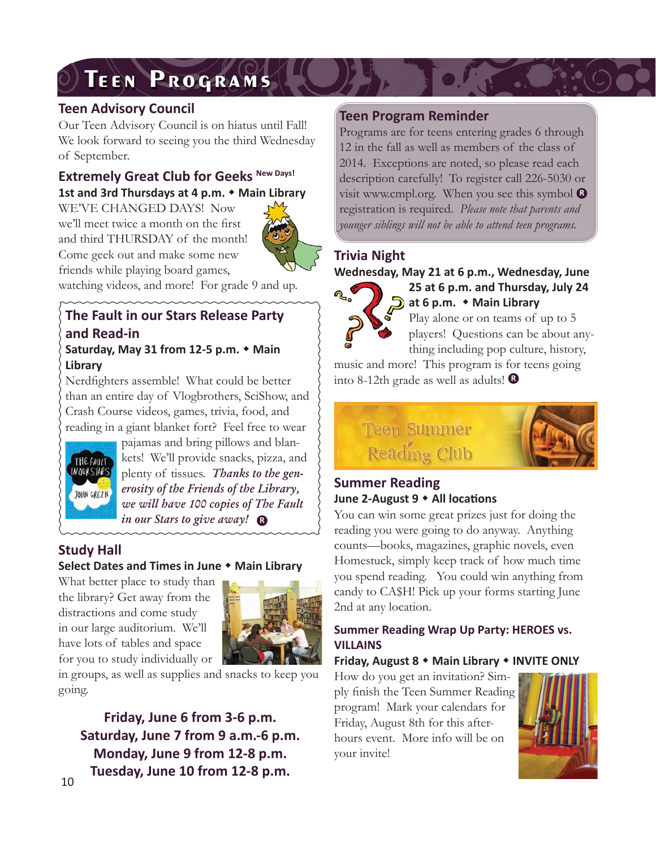# **TEEN PROGRAMS**

# **Teen Advisory Council**

Our Teen Advisory Council is on hiatus until Fall! We look forward to seeing you the third Wednesday of September.

# **Extremely Great Club for Geeks New Days! 1st and 3rd Thursdays at 4 p.m. Main Library**

WE'VE CHANGED DAYS! Now we'll meet twice a month on the first and third THURSDAY of the month! Come geek out and make some new friends while playing board games,



watching videos, and more! For grade 9 and up.

#### **The Fault in our Stars Release Party and Read-in Saturday, May 31 from 12-5 p.m. Main Library**

Nerdfighters assemble! What could be better than an entire day of Vlogbrothers, SciShow, and Crash Course videos, games, trivia, food, and reading in a giant blanket fort? Feel free to wear



**R** *in our Stars to give away!* pajamas and bring pillows and blankets! We'll provide snacks, pizza, and plenty of tissues. *Thanks to the generosity of the Friends of the Library, we will have 100 copies of The Fault* 

# **Study Hall**

#### **Select Dates and Times in June Main Library**

What better place to study than the library? Get away from the distractions and come study in our large auditorium. We'll have lots of tables and space for you to study individually or



in groups, as well as supplies and snacks to keep you going.

**Friday, June 6 from 3-6 p.m. Saturday, June 7 from 9 a.m.-6 p.m. Monday, June 9 from 12-8 p.m. Tuesday, June 10 from 12-8 p.m.**

# **Teen Program Reminder**

Programs are for teens entering grades 6 through 12 in the fall as well as members of the class of 2014. Exceptions are noted, so please read each description carefully! To register call 226-5030 or visit www.cmpl.org. When you see this symbol **R** registration is required. *Please note that parents and younger siblings will not be able to attend teen programs.*

# **Trivia Night**

**Wednesday, May 21 at 6 p.m., Wednesday, June** 



**25 at 6 p.m. and Thursday, July 24 at 6 p.m. Main Library** Play alone or on teams of up to 5 players! Questions can be about any-

**R** into 8-12th grade as well as adults! thing including pop culture, history, music and more! This program is for teens going



# **Summer Reading June 2-August 9 • All locations**

You can win some great prizes just for doing the reading you were going to do anyway. Anything counts—books, magazines, graphic novels, even Homestuck, simply keep track of how much time you spend reading. You could win anything from candy to CA\$H! Pick up your forms starting June 2nd at any location.

## **Summer Reading Wrap Up Party: HEROES vs. VILLAINS**

**Friday, August 8 Main Library INVITE ONLY**

How do you get an invitation? Simply finish the Teen Summer Reading program! Mark your calendars for Friday, August 8th for this afterhours event. More info will be on your invite!

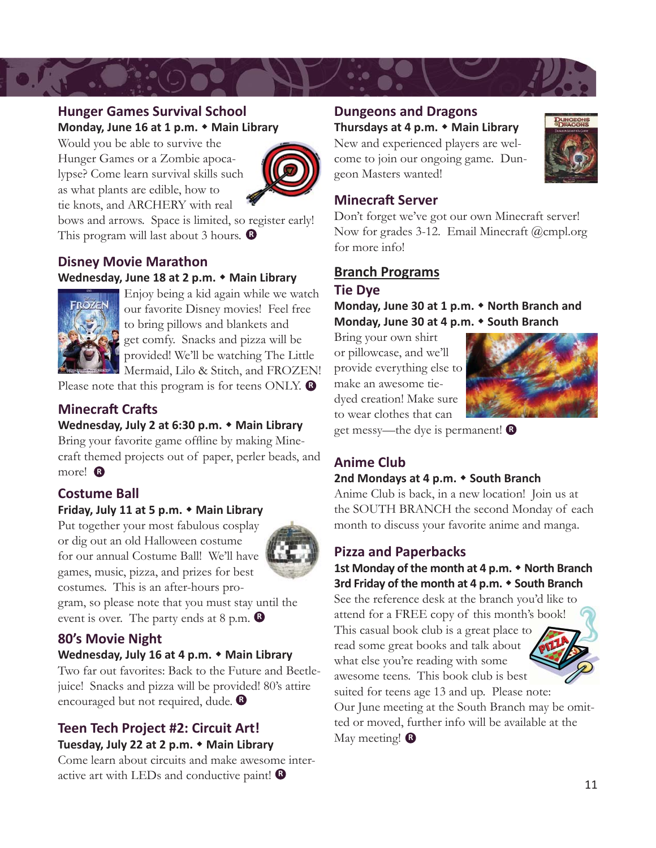

#### **Hunger Games Survival School Monday, June 16 at 1 p.m. Main Library**

Would you be able to survive the Hunger Games or a Zombie apocalypse? Come learn survival skills such as what plants are edible, how to tie knots, and ARCHERY with real



bows and arrows. Space is limited, so register early! This program will last about 3 hours. **R**

# **Disney Movie Marathon Wednesday, June 18 at 2 p.m. Main Library**



Enjoy being a kid again while we watch our favorite Disney movies! Feel free to bring pillows and blankets and get comfy. Snacks and pizza will be provided! We'll be watching The Little Mermaid, Lilo & Stitch, and FROZEN!

Please note that this program is for teens ONLY.

# **Minecraft Crafts**

# **Wednesday, July 2 at 6:30 p.m. Main Library**

Bring your favorite game offline by making Minecraft themed projects out of paper, perler beads, and more! **R**

# **Costume Ball**

#### **Friday, July 11 at 5 p.m. Main Library**

Put together your most fabulous cosplay or dig out an old Halloween costume for our annual Costume Ball! We'll have games, music, pizza, and prizes for best costumes. This is an after-hours pro-



gram, so please note that you must stay until the event is over. The party ends at 8 p.m. **R**

# **80's Movie Night**

#### **Wednesday, July 16 at 4 p.m. Main Library**

**R** encouraged but not required, dude. Two far out favorites: Back to the Future and Beetlejuice! Snacks and pizza will be provided! 80's attire

## **Teen Tech Project #2: Circuit Art! Tuesday, July 22 at 2 p.m. Main Library**

Come learn about circuits and make awesome interactive art with LEDs and conductive paint! **R**

# **Dungeons and Dragons**

#### **Thursdays at 4 p.m. Main Library**

New and experienced players are welcome to join our ongoing game. Dungeon Masters wanted!



# **Minecraft Server**

Don't forget we've got our own Minecraft server! Now for grades 3-12. Email Minecraft @cmpl.org for more info!

# **Branch Programs**

# **Tie Dye**

Monday, June 30 at 1 p.m.  $\bullet$  North Branch and **Monday, June 30 at 4 p.m. South Branch**

Bring your own shirt or pillowcase, and we'll provide everything else to make an awesome tiedyed creation! Make sure to wear clothes that can



get messy—the dye is permanent! **B** 

# **Anime Club**

#### **2nd Mondays at 4 p.m. South Branch**

Anime Club is back, in a new location! Join us at the SOUTH BRANCH the second Monday of each month to discuss your favorite anime and manga.

# **Pizza and Paperbacks**

#### **1st Monday of the month at 4 p.m. North Branch 3rd Friday of the month at 4 p.m. South Branch**

See the reference desk at the branch you'd like to attend for a FREE copy of this month's book! This casual book club is a great place to read some great books and talk about what else you're reading with some awesome teens. This book club is best suited for teens age 13 and up. Please note:

Our June meeting at the South Branch may be omitted or moved, further info will be available at the May meeting! **R**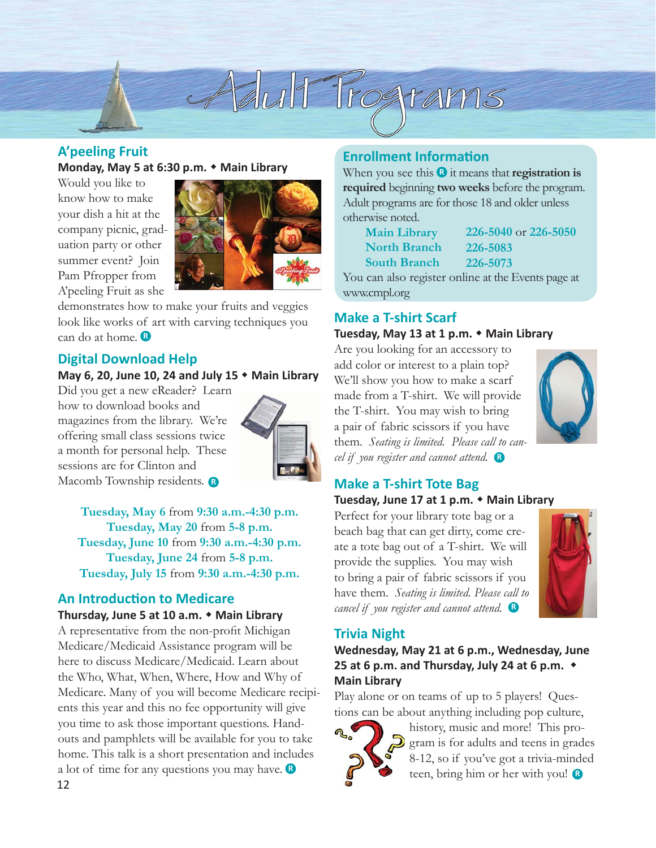

# **A'peeling Fruit**

**Monday, May 5 at 6:30 p.m. Main Library**

Would you like to know how to make your dish a hit at the company picnic, graduation party or other summer event? Join Pam Pfropper from A'peeling Fruit as she



demonstrates how to make your fruits and veggies look like works of art with carving techniques you can do at home. **R**

#### **Digital Download Help**

#### **May 6, 20, June 10, 24 and July 15 Main Library**

Did you get a new eReader? Learn how to download books and magazines from the library. We're offering small class sessions twice a month for personal help. These sessions are for Clinton and Macomb Township residents. **R**



**Tuesday, May 6** from **9:30 a.m.-4:30 p.m. Tuesday, May 20** from **5-8 p.m. Tuesday, June 10** from **9:30 a.m.-4:30 p.m. Tuesday, June 24** from **5-8 p.m. Tuesday, July 15** from **9:30 a.m.-4:30 p.m.**

# **An Introduction to Medicare**

**Thursday, June 5 at 10 a.m. Main Library**

a lot of time for any questions you may have. A representative from the non-profit Michigan Medicare/Medicaid Assistance program will be here to discuss Medicare/Medicaid. Learn about the Who, What, When, Where, How and Why of Medicare. Many of you will become Medicare recipients this year and this no fee opportunity will give you time to ask those important questions. Handouts and pamphlets will be available for you to take home. This talk is a short presentation and includes

### **Enrollment Information**

When you see this  $\mathbf{\Omega}$  it means that **registration is required** beginning **two weeks** before the program. Adult programs are for those 18 and older unless otherwise noted.

|                | <b>Main Library</b> | 226-5040 or 226-5050                           |
|----------------|---------------------|------------------------------------------------|
|                | <b>North Branch</b> | 226-5083                                       |
|                | <b>South Branch</b> | 226-5073                                       |
| $\overline{r}$ |                     | $\mathbf{1}$ and $\mathbf{1}$ and $\mathbf{1}$ |

You can also register online at the Events page at www.cmpl.org

# **Make a T-shirt Scarf**

#### **Tuesday, May 13 at 1 p.m. Main Library**

Are you looking for an accessory to add color or interest to a plain top? We'll show you how to make a scarf made from a T-shirt. We will provide the T-shirt. You may wish to bring a pair of fabric scissors if you have them. *Seating is limited. Please call to cancel if you register and cannot attend.* **R**



#### **Make a T-shirt Tote Bag**

#### **Tuesday, June 17 at 1 p.m. Main Library**

Perfect for your library tote bag or a beach bag that can get dirty, come create a tote bag out of a T-shirt. We will provide the supplies. You may wish to bring a pair of fabric scissors if you have them. *Seating is limited. Please call to cancel if you register and cannot attend.* **R**



# **Trivia Night**

**Wednesday, May 21 at 6 p.m., Wednesday, June 25 at 6 p.m. and Thursday, July 24 at 6 p.m. Main Library**

Play alone or on teams of up to 5 players! Questions can be about anything including pop culture,



history, music and more! This program is for adults and teens in grades 8-12, so if you've got a trivia-minded teen, bring him or her with you! **<sup>R</sup>**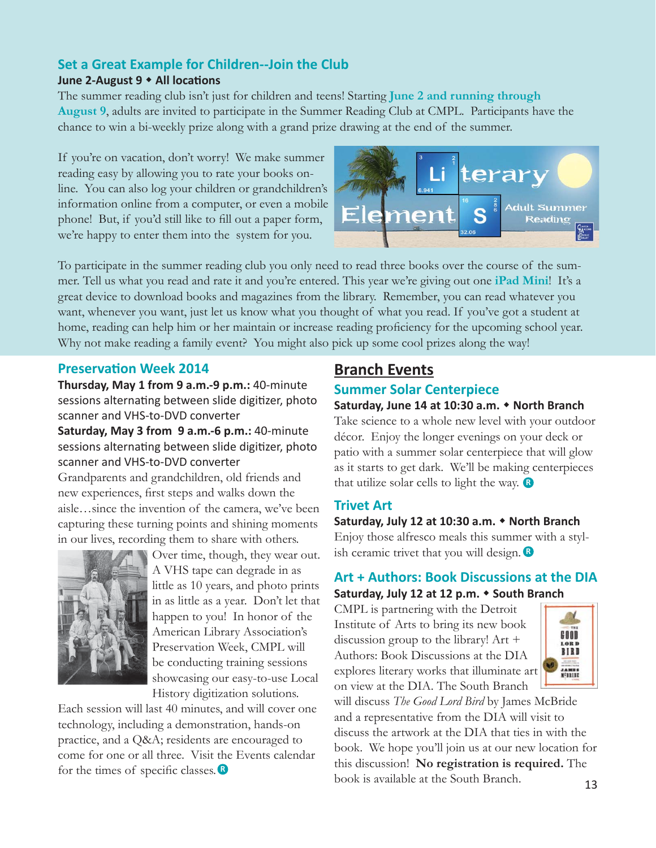# **Set a Great Example for Children--Join the Club**

#### **June 2-August 9**  $\bullet$  **All locations**

The summer reading club isn't just for children and teens! Starting **June 2 and running through August 9**, adults are invited to participate in the Summer Reading Club at CMPL. Participants have the chance to win a bi-weekly prize along with a grand prize drawing at the end of the summer.

If you're on vacation, don't worry! We make summer reading easy by allowing you to rate your books online. You can also log your children or grandchildren's information online from a computer, or even a mobile phone! But, if you'd still like to fill out a paper form, we're happy to enter them into the system for you.



To participate in the summer reading club you only need to read three books over the course of the summer. Tell us what you read and rate it and you're entered. This year we're giving out one **iPad Mini**! It's a great device to download books and magazines from the library. Remember, you can read whatever you want, whenever you want, just let us know what you thought of what you read. If you've got a student at home, reading can help him or her maintain or increase reading proficiency for the upcoming school year. Why not make reading a family event? You might also pick up some cool prizes along the way!

### **Preservation Week 2014 Branch Events**

**Thursday, May 1 from 9 a.m.-9 p.m.:** 40-minute sessions alternating between slide digitizer, photo scanner and VHS-to-DVD converter **Saturday, May 3 from 9 a.m.-6 p.m.:** 40-minute sessions alternating between slide digitizer, photo scanner and VHS-to-DVD converter Grandparents and grandchildren, old friends and new experiences, first steps and walks down the aisle…since the invention of the camera, we've been capturing these turning points and shining moments



Over time, though, they wear out. A VHS tape can degrade in as little as 10 years, and photo prints in as little as a year. Don't let that happen to you! In honor of the American Library Association's Preservation Week, CMPL will be conducting training sessions showcasing our easy-to-use Local History digitization solutions.

Each session will last 40 minutes, and will cover one technology, including a demonstration, hands-on practice, and a Q&A; residents are encouraged to come for one or all three. Visit the Events calendar for the times of specific classes.

# **Summer Solar Centerpiece**

#### **Saturday, June 14 at 10:30 a.m. North Branch**

that utilize solar cells to light the way. Take science to a whole new level with your outdoor décor. Enjoy the longer evenings on your deck or patio with a summer solar centerpiece that will glow as it starts to get dark. We'll be making centerpieces

#### **Trivet Art**

ish ceramic trivet that you will design. **Saturday, July 12 at 10:30 a.m. North Branch** Enjoy those alfresco meals this summer with a styl-

#### **Art + Authors: Book Discussions at the DIA Saturday, July 12 at 12 p.m. South Branch**

CMPL is partnering with the Detroit Institute of Arts to bring its new book discussion group to the library! Art + Authors: Book Discussions at the DIA explores literary works that illuminate art on view at the DIA. The South Branch



will discuss *The Good Lord Bird* by James McBride and a representative from the DIA will visit to discuss the artwork at the DIA that ties in with the book. We hope you'll join us at our new location for this discussion! **No registration is required.** The book is available at the South Branch.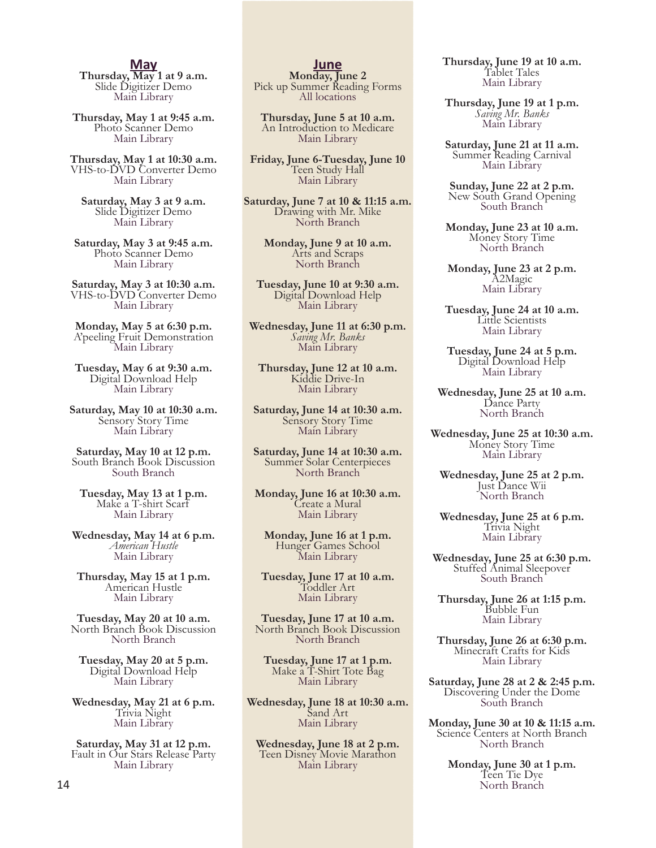**May Thursday, May 1 at 9 a.m.** Slide Digitizer Demo Main Library

**Thursday, May 1 at 9:45 a.m.** Photo Scanner Demo Main Library

**Thursday, May 1 at 10:30 a.m.** VHS-to-DVD Converter Demo Main Library

**Saturday, May 3 at 9 a.m.** Slide Digitizer Demo Main Library

**Saturday, May 3 at 9:45 a.m.** Photo Scanner Demo Main Library

**Saturday, May 3 at 10:30 a.m.** VHS-to-DVD Converter Demo Main Library

**Monday, May 5 at 6:30 p.m.** A'peeling Fruit Demonstration Main Library

**Tuesday, May 6 at 9:30 a.m.** Digital Download Help Main Library

**Saturday, May 10 at 10:30 a.m.** Sensory Story Time Main Library

**Saturday, May 10 at 12 p.m.** South Branch Book Discussion South Branch

**Tuesday, May 13 at 1 p.m.** Make a T-shirt Scarf Main Library

**Wednesday, May 14 at 6 p.m.** *American Hustle* Main Library

**Thursday, May 15 at 1 p.m.** American Hustle Main Library

**Tuesday, May 20 at 10 a.m.** North Branch Book Discussion North Branch

**Tuesday, May 20 at 5 p.m.** Digital Download Help Main Library

**Wednesday, May 21 at 6 p.m.** Trivia Night Main Library

**Saturday, May 31 at 12 p.m.** Fault in Our Stars Release Party Main Library

**Monday**, June 2 Pick up Summer Reading Forms<br>All locations

**Thursday, June 5 at 10 a.m.** An Introduction to Medicare Main Library

**Friday, June 6-Tuesday, June 10** Teen Study Hall Main Library

**Saturday, June 7 at 10 & 11:15 a.m.**<br>Drawing with Mr. Mike<br>North Branch

**Monday, June 9 at 10 a.m.** Arts and Scraps North Branch

**Tuesday, June 10 at 9:30 a.m.** Digital Download Help Main Library

**Wednesday, June 11 at 6:30 p.m.** *Saving Mr. Banks* Main Library

**Thursday, June 12 at 10 a.m.** Kiddie Drive-In Main Library

**Saturday, June 14 at 10:30 a.m.** Sensory Story Time Main Library

**Saturday, June 14 at 10:30 a.m.** Summer Solar Centerpieces North Branch

**Monday, June 16 at 10:30 a.m.** Create a Mural Main Library

**Monday, June 16 at 1 p.m.** Hunger Games School Main Library

**Tuesday, June 17 at 10 a.m.** Toddler Art Main Library

**Tuesday, June 17 at 10 a.m.** North Branch Book Discussion North Branch

**Tuesday, June 17 at 1 p.m.** Make a T-Shirt Tote Bag Main Library

**Wednesday, June 18 at 10:30 a.m.** Sand Art Main Library

**Wednesday, June 18 at 2 p.m.** Teen Disney Movie Marathon Main Library

**Thursday, June 19 at 10 a.m.** Tablet Tales Main Library

**Thursday, June 19 at 1 p.m.** *Saving Mr. Banks* Main Library

**Saturday, June 21 at 11 a.m.** Summer Reading Carnival Main Library

**Sunday, June 22 at 2 p.m.** New South Grand Opening South Branch

**Monday, June 23 at 10 a.m.**<br>Money Story Time<br>North Branch

**Monday, June 23 at 2 p.m.** A2Magic Main Library

**Tuesday, June 24 at 10 a.m.** Little Scientists Main Library

**Tuesday, June 24 at 5 p.m.** Digital Download Help Main Library

**Wednesday, June 25 at 10 a.m.** Dance Party North Branch

**Wednesday, June 25 at 10:30 a.m.** Money Story Time Main Library

**Wednesday, June 25 at 2 p.m.** Just Dance Wii North Branch

**Wednesday, June 25 at 6 p.m.** Trivia Night Main Library

**Wednesday, June 25 at 6:30 p.m.** Stuffed Animal Sleepover South Branch

**Thursday, June 26 at 1:15 p.m.** Bubble Fun Main Library

**Thursday, June 26 at 6:30 p.m.** Minecraft Crafts for Kids Main Library

**Saturday, June 28 at 2 & 2:45 p.m.** Discovering Under the Dome South Branch

**Monday, June 30 at 10 & 11:15 a.m.** Science Centers at North Branch North Branch

> **Monday, June 30 at 1 p.m.** Teen Tie Dye North Branch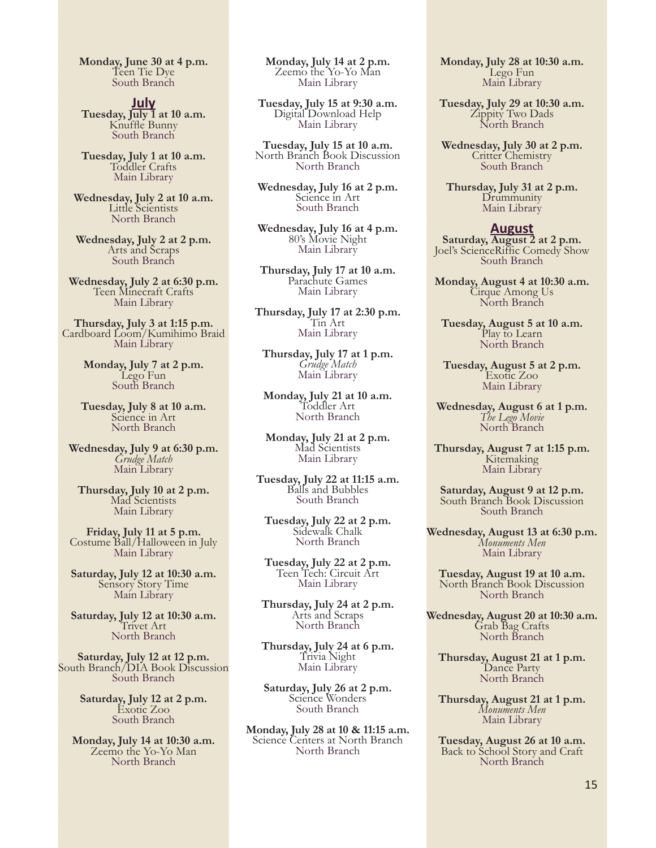**Monday, June 30 at 4 p.m.**<br>Teen Tie Dye South Branch

**July<br>Tuesday, July 1 at 10 a.m.**<br>Knuffle Bunny<br>South Branch

**Tuesday, July 1 at 10 a.m.** Toddler Crafts Main Library

**Wednesday, July 2 at 10 a.m.** Little Scientists North Branch

**Wednesday, July 2 at 2 p.m.** Arts and Scraps South Branch

**Wednesday, July 2 at 6:30 p.m.** Teen Minecraft Crafts Main Library

**Thursday, July 3 at 1:15 p.m.** Cardboard Loom/Kumihimo Braid Main Library

> **Monday, July 7 at 2 p.m.** Lego Fun South Branch

**Tuesday, July 8 at 10 a.m.** Science in Art North Branch

**Wednesday, July 9 at 6:30 p.m.** *Grudge Match* Main Library

**Thursday, July 10 at 2 p.m.** Mad Scientists Main Library

**Friday, July 11 at 5 p.m.** Costume Ball/Halloween in July Main Library

**Saturday, July 12 at 10:30 a.m.** Sensory Story Time Main Library

**Saturday, July 12 at 10:30 a.m.** Trivet Art North Branch

**Saturday, July 12 at 12 p.m.** South Branch/DIA Book Discussion South Branch

> **Saturday, July 12 at 2 p.m.** Exotic Zoo South Branch

**Monday, July 14 at 10:30 a.m.** Zeemo the Yo-Yo Man North Branch

**Monday, July 14 at 2 p.m.** Zeemo the Yo-Yo Man Main Library

**Tuesday, July 15 at 9:30 a.m.** Digital Download Help Main Library

**Tuesday, July 15 at 10 a.m.** North Branch Book Discussion North Branch

**Wednesday, July 16 at 2 p.m.** Science in Art South Branch

**Wednesday, July 16 at 4 p.m.** 80's Movie Night Main Library

**Thursday, July 17 at 10 a.m.** Parachute Games Main Library

**Thursday, July 17 at 2:30 p.m.** Tin Art Main Library

**Thursday, July 17 at 1 p.m.** *Grudge Match* Main Library

**Monday, July 21 at 10 a.m.** Toddler Art North Branch

**Monday, July 21 at 2 p.m.** Mad Scientists Main Library

**Tuesday, July 22 at 11:15 a.m.** Balls and Bubbles South Branch

**Tuesday, July 22 at 2 p.m.** Sidewalk Chalk North Branch

**Tuesday, July 22 at 2 p.m.** Teen Tech: Circuit Art Main Library

**Thursday, July 24 at 2 p.m.** Arts and Scraps North Branch

**Thursday, July 24 at 6 p.m.** Trivia Night Main Library

**Saturday, July 26 at 2 p.m.** Science Wonders South Branch

**Monday, July 28 at 10 & 11:15 a.m.** Science Centers at North Branch North Branch

**Monday, July 28 at 10:30 a.m.** Lego Fun Main Library

Tuesday, July 29 at 10:30 a.m. Zippity Two Dads<br>North Branch

**Wednesday, July 30 at 2 p.m.**<br>Critter Chemistry South Branch

**Thursday, July 31 at 2 p.m.** Drummunity Main Library

#### **August**

**Saturday, August 2 at 2 p.m.** Joel's ScienceRiffic Comedy Show<br>South Branch

**Monday, August 4 at 10:30 a.m.** Cirque Among Us North Branch

**Tuesday, August 5 at 10 a.m.** Play to Learn North Branch

**Tuesday, August 5 at 2 p.m.** Exotic Zoo Main Library

**Wednesday, August 6 at 1 p.m.** *The Lego Movie* North Branch

**Thursday, August 7 at 1:15 p.m.** Kitemaking Main Library

**Saturday, August 9 at 12 p.m.** South Branch Book Discussion South Branch

**Wednesday, August 13 at 6:30 p.m.** *Monuments Men* Main Library

**Tuesday, August 19 at 10 a.m.** North Branch Book Discussion North Branch

**Wednesday, August 20 at 10:30 a.m.** Grab Bag Crafts North Branch

**Thursday, August 21 at 1 p.m.** Dance Party North Branch

**Thursday, August 21 at 1 p.m.** *Monuments Men* Main Library

**Tuesday, August 26 at 10 a.m.** Back to School Story and Craft North Branch